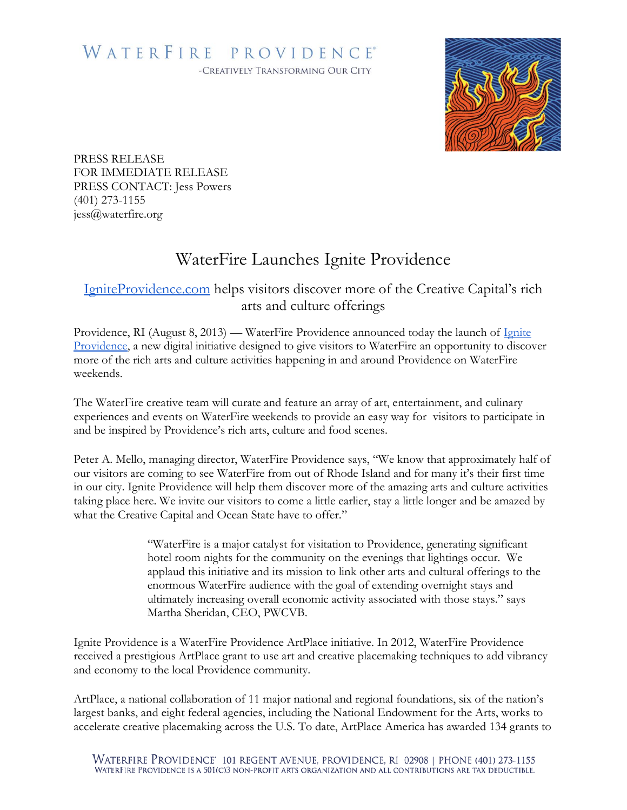## WATERFIRE PROVIDENCE® -CREATIVELY TRANSFORMING OUR CITY



PRESS RELEASE FOR IMMEDIATE RELEASE PRESS CONTACT: Jess Powers (401) 273-1155 jess@waterfire.org

## WaterFire Launches Ignite Providence

## [IgniteProvidence.com](http://igniteprovidence.com/) helps visitors discover more of the Creative Capital's rich arts and culture offerings

Providence, RI (August 8, 2013) — WaterFire Providence announced today the launch of Ignite [Providence,](http://igniteprovidence.com/) a new digital initiative designed to give visitors to WaterFire an opportunity to discover more of the rich arts and culture activities happening in and around Providence on WaterFire weekends.

The WaterFire creative team will curate and feature an array of art, entertainment, and culinary experiences and events on WaterFire weekends to provide an easy way for visitors to participate in and be inspired by Providence's rich arts, culture and food scenes.

Peter A. Mello, managing director, WaterFire Providence says, "We know that approximately half of our visitors are coming to see WaterFire from out of Rhode Island and for many it's their first time in our city. Ignite Providence will help them discover more of the amazing arts and culture activities taking place here. We invite our visitors to come a little earlier, stay a little longer and be amazed by what the Creative Capital and Ocean State have to offer."

> "WaterFire is a major catalyst for visitation to Providence, generating significant hotel room nights for the community on the evenings that lightings occur. We applaud this initiative and its mission to link other arts and cultural offerings to the enormous WaterFire audience with the goal of extending overnight stays and ultimately increasing overall economic activity associated with those stays." says Martha Sheridan, CEO, PWCVB.

Ignite Providence is a WaterFire Providence ArtPlace initiative. In 2012, WaterFire Providence received a prestigious ArtPlace grant to use art and creative placemaking techniques to add vibrancy and economy to the local Providence community.

ArtPlace, a national collaboration of 11 major national and regional foundations, six of the nation's largest banks, and eight federal agencies, including the National Endowment for the Arts, works to accelerate creative placemaking across the U.S. To date, ArtPlace America has awarded 134 grants to